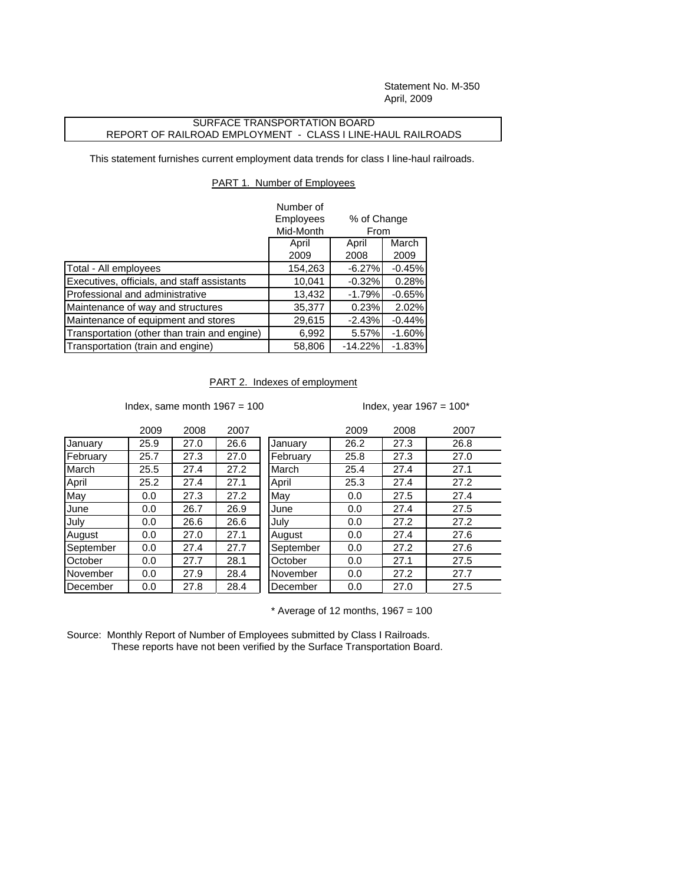Statement No. M-350 April, 2009

## SURFACE TRANSPORTATION BOARD REPORT OF RAILROAD EMPLOYMENT - CLASS I LINE-HAUL RAILROADS

This statement furnishes current employment data trends for class I line-haul railroads.

## PART 1. Number of Employees

|                                              | Number of |                                                |          |  |
|----------------------------------------------|-----------|------------------------------------------------|----------|--|
|                                              | Employees | % of Change<br>From<br>March<br>April<br>April |          |  |
|                                              | Mid-Month |                                                |          |  |
|                                              |           |                                                |          |  |
|                                              | 2009      | 2008                                           | 2009     |  |
| Total - All employees                        | 154,263   | $-6.27%$                                       | $-0.45%$ |  |
| Executives, officials, and staff assistants  | 10,041    | $-0.32%$                                       | 0.28%    |  |
| Professional and administrative              | 13,432    | $-1.79%$                                       | $-0.65%$ |  |
| Maintenance of way and structures            | 35,377    | 0.23%                                          | 2.02%    |  |
| Maintenance of equipment and stores          | 29,615    | $-2.43%$                                       | $-0.44%$ |  |
| Transportation (other than train and engine) | 6,992     | 5.57%                                          | $-1.60%$ |  |
| Transportation (train and engine)            | 58,806    | $-14.22%$                                      | $-1.83%$ |  |

PART 2. Indexes of employment

Index, same month  $1967 = 100$  Index, year  $1967 = 100^*$ 

|           | 2009 | 2008 | 2007 |           | 2009 | 2008 | 2007 |
|-----------|------|------|------|-----------|------|------|------|
| January   | 25.9 | 27.0 | 26.6 | January   | 26.2 | 27.3 | 26.8 |
| February  | 25.7 | 27.3 | 27.0 | February  | 25.8 | 27.3 | 27.0 |
| March     | 25.5 | 27.4 | 27.2 | March     | 25.4 | 27.4 | 27.1 |
| April     | 25.2 | 27.4 | 27.1 | April     | 25.3 | 27.4 | 27.2 |
| May       | 0.0  | 27.3 | 27.2 | May       | 0.0  | 27.5 | 27.4 |
| June      | 0.0  | 26.7 | 26.9 | June      | 0.0  | 27.4 | 27.5 |
| July      | 0.0  | 26.6 | 26.6 | July      | 0.0  | 27.2 | 27.2 |
| August    | 0.0  | 27.0 | 27.1 | August    | 0.0  | 27.4 | 27.6 |
| September | 0.0  | 27.4 | 27.7 | September | 0.0  | 27.2 | 27.6 |
| October   | 0.0  | 27.7 | 28.1 | October   | 0.0  | 27.1 | 27.5 |
| November  | 0.0  | 27.9 | 28.4 | November  | 0.0  | 27.2 | 27.7 |
| December  | 0.0  | 27.8 | 28.4 | December  | 0.0  | 27.0 | 27.5 |
|           |      |      |      |           |      |      |      |

 $*$  Average of 12 months, 1967 = 100

Source: Monthly Report of Number of Employees submitted by Class I Railroads. These reports have not been verified by the Surface Transportation Board.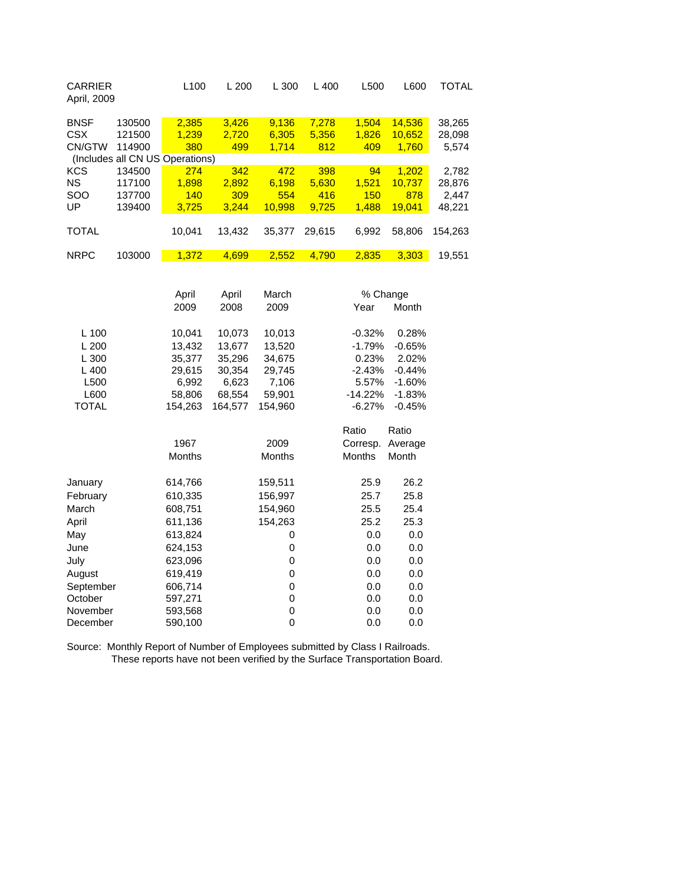| <b>CARRIER</b><br>April, 2009                                   |                                                               | L100                                                                                | L 200                                                                               | L 300                                                                               | L 400                 | L500                                                                                            | L600                                                                                | <b>TOTAL</b>              |
|-----------------------------------------------------------------|---------------------------------------------------------------|-------------------------------------------------------------------------------------|-------------------------------------------------------------------------------------|-------------------------------------------------------------------------------------|-----------------------|-------------------------------------------------------------------------------------------------|-------------------------------------------------------------------------------------|---------------------------|
| <b>BNSF</b><br><b>CSX</b><br>CN/GTW                             | 130500<br>121500<br>114900<br>(Includes all CN US Operations) | 2,385<br>1,239<br>380                                                               | 3,426<br>2,720<br>499                                                               | 9,136<br>6,305<br>1,714                                                             | 7,278<br>5,356<br>812 | 1,504<br>1,826<br>409                                                                           | 14,536<br>10,652<br>1,760                                                           | 38,265<br>28,098<br>5,574 |
| <b>KCS</b>                                                      | 134500                                                        | 274                                                                                 | 342                                                                                 | 472                                                                                 | 398                   | 94                                                                                              | 1,202                                                                               | 2,782                     |
| <b>NS</b>                                                       | 117100                                                        | 1,898                                                                               | 2,892                                                                               | 6,198                                                                               | 5,630                 | 1,521                                                                                           | 10,737                                                                              | 28,876                    |
| SOO                                                             | 137700                                                        | 140                                                                                 | 309                                                                                 | 554                                                                                 | 416                   | 150                                                                                             | 878                                                                                 | 2,447                     |
| UP                                                              | 139400                                                        | 3,725                                                                               | 3,244                                                                               | 10,998                                                                              | 9,725                 | 1,488                                                                                           | 19,041                                                                              | 48,221                    |
| <b>TOTAL</b>                                                    |                                                               | 10,041                                                                              | 13,432                                                                              | 35,377                                                                              | 29,615                | 6,992                                                                                           | 58,806                                                                              | 154,263                   |
| <b>NRPC</b>                                                     | 103000                                                        | 1,372                                                                               | 4,699                                                                               | 2,552                                                                               | 4,790                 | 2,835                                                                                           | 3,303                                                                               | 19,551                    |
| L 100<br>L200<br>L 300<br>L 400<br>L500<br>L600<br><b>TOTAL</b> |                                                               | April<br>2009<br>10,041<br>13,432<br>35,377<br>29,615<br>6,992<br>58,806<br>154,263 | April<br>2008<br>10,073<br>13,677<br>35,296<br>30,354<br>6,623<br>68,554<br>164,577 | March<br>2009<br>10,013<br>13,520<br>34,675<br>29,745<br>7,106<br>59,901<br>154,960 |                       | % Change<br>Year<br>$-0.32%$<br>$-1.79%$<br>0.23%<br>$-2.43%$<br>5.57%<br>$-14.22%$<br>$-6.27%$ | Month<br>0.28%<br>$-0.65%$<br>2.02%<br>$-0.44%$<br>$-1.60%$<br>$-1.83%$<br>$-0.45%$ |                           |
|                                                                 |                                                               | 1967<br>Months                                                                      |                                                                                     | 2009<br>Months                                                                      |                       | Ratio<br>Corresp.<br><b>Months</b>                                                              | Ratio<br>Average<br>Month                                                           |                           |
| January                                                         |                                                               | 614,766                                                                             |                                                                                     | 159,511                                                                             |                       | 25.9                                                                                            | 26.2                                                                                |                           |
| February                                                        |                                                               | 610,335                                                                             |                                                                                     | 156,997                                                                             |                       | 25.7                                                                                            | 25.8                                                                                |                           |
| March                                                           |                                                               | 608,751                                                                             |                                                                                     | 154,960                                                                             |                       | 25.5                                                                                            | 25.4                                                                                |                           |
| April                                                           |                                                               | 611,136                                                                             |                                                                                     | 154,263                                                                             |                       | 25.2                                                                                            | 25.3                                                                                |                           |
| May                                                             |                                                               | 613,824                                                                             |                                                                                     | 0                                                                                   |                       | 0.0                                                                                             | 0.0                                                                                 |                           |
| June                                                            |                                                               | 624,153                                                                             |                                                                                     | 0                                                                                   |                       | 0.0                                                                                             | 0.0                                                                                 |                           |

duly 10.0 623,096 0 0.0 0.0 0.0<br>August 619,419 0 0.0 0.0

September 606,714 0 0.0 0.0 0.0<br>October 597.271 0 0.0 0.0

November 593,568 0 0.0 0.0<br>December 590,100 0 0.0 0.0

Source: Monthly Report of Number of Employees submitted by Class I Railroads. These reports have not been verified by the Surface Transportation Board.

October 597,271 0 0.0 0.0

619,419

December